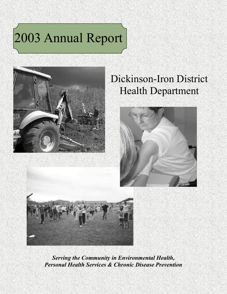# 2003 Annual Report



## Dickinson-Iron District Health Department





*Serving the Community in Environmental Health, Personal Health Services & Chronic Disease Prevention*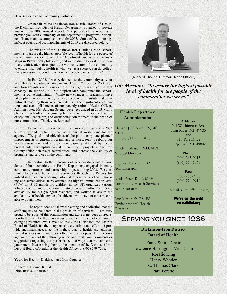#### Dear Residents and Community Partners:

On behalf of the Dickinson-Iron District Board of Health, the Dickinson-Iron District Health Department is pleased to provide you with our 2003 Annual Report. The purpose of the report is to provide you with a summary of the department's programs, personnel, finances and accomplishments for 2003. Some of the more significant events and accomplishments of 2003 are discussed below.

The mission of the Dickinson-Iron District Health Department is to assure the highest possible level of health for the people of the communities we serve. The Department embraces a **Partnerships in Prevention** philosophy, and we continue to work collaboratively with leaders throughout the various sectors of the community to ensure that "public health is what we, as a society, can do collectively to assure the conditions in which people can be healthy".

In Fall 2002, I was welcomed to the community as your new Health Department Director and Health Officer for Dickinson and Iron Counties and consider it a privilege to serve you in that capacity. In June of 2003, Mr. Stephen Markham joined the Department as our Administrator. While new changes in leadership have taken place, as a community we also recognize the substantial commitment made by those who precede us. The significant contributions and accomplishments of our recently retired Health Officer/ Administrator, Ms. Barbara Serena, were recognized in 2003 with a plaque in each office recognizing her 26 years of tireless dedication, exceptional leadership, and outstanding commitment to the health of our communities. Thank you, Barbara!

Department leadership and staff worked diligently in 2003 to develop and implement the use of annual work plans for the agency. The goals and objectives of the plan incorporate planned improvements in current programs and services, seek to rebuild our health assessment and improvement capacity affected by recent budget cuts, accomplish capital improvement projects at the Iron County office, achieve re-accreditation, and increase the visibility of programs and services in the community.

In addition to the thousands of services delivered to residents of both counties, the Health Department engaged in many community outreach and partnership projects during 2003. We continued to provide home visiting services through the Parents Involved in Education program, participated in numerous health, housing and senior citizen fairs, attained the highest immunization level (71%) in 19-35 month old children in the UP, organized various tobacco control and prevention initiatives, assured influenza vaccine availability for our youngest residents, and worked to assure the availability of health services for citizens who may not otherwise be able to obtain them.

The report does not show the caring and dedication that the staff imparts to residents in the provision of services. I am very proud to be a part of this organization and express my deep appreciation to the staff for their enormous efforts in the face of continually changing resource levels. We also thank the Dickinson-Iron District Board of Health for their support as we continue our efforts to provide maximum access to the highest quality health and environmental services in the most cost effective manner possible. I encourage your review of the following report and invite your comments or suggestions regarding our performance and ways that we can serve you better. Please bring them to the attention of the Dickinson-Iron District Board of Health or the Health Officer at (906) 779-7206.

Yours for Healthy Dickinson and Iron Counties,

Richard J. Thoune, RS, MPH Director/Health Officer



(Richard Thoune, Director/Health Officer)

*Our Mission: "To assure the highest possible level of health for the people of the communities we serve."* 

#### **Health Department Administration**

Richard J. Thoune, RS, MS, MPH

Director/Health Officer

Randall Johnson, MD, MPH Medical Director

Stephen Markham, BA Administrator

Linda Piper, RNC, MPH Community Health Services Administrator

Ron Matonich, RS, BS Environmental Health Director

#### **Address:**

601 Washington Ave. Iron River, MI 49935 and 818 Pyle Drive Kingsford, MI 49802

> **Phone:**  (906) 265-9913 (906) 774-1868

**Fax:**  (906) 265-2950 (906) 774-9910

E-mail: rumpf@hline.org

**We're on the web! www.didhd.org** 

## Serving you since 1936

**Dickinson-Iron District Board of Health**

Frank Smith, Chair Lawrence Harrington, Vice Chair Rosalie King Henry Wender C. Thomas Clark Patti Peretto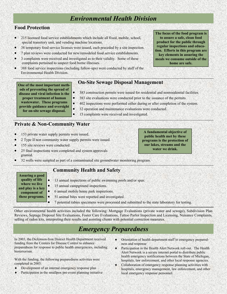## *Environmental Health Division*

## **Food Protection**

- 215 licensed food service establishments which include all fixed, mobile, school, special transitory unit, and vending machine locations.
- 38 temporary food service licenses were issued, each preceded by a site inspection.
- 7 plan reviews were conducted for new/remodeled food service establishments.
- 3 complaints were received and investigated as to their validity. Some of these complaints pertained to suspect food borne illnesses.
- 388 food service inspections (including follow-ups) were conducted by staff of the Environmental Health Division.

## **On-Site Sewage Disposal Management**

• 32 operation and maintenance evaluations were conducted.

- 383 construction permits were issued for residential and nonresidential facilities.
- 383 site evaluations were conducted prior to the issuance of the permits.
- 402 inspections were performed either during or after completion of the system.
- **wastewater. These programs provide guidance and oversight for on-site sewage disposal.**

**One of the most important methods of preventing the spread of disease and viral infection is the proper treatment of human** 

• 15 complaints were received and investigated.

## **Private & Non-Community Water**

- 153 private water supply permits were issued.
- 2 Type II non community water supply permits were issued.
- 155 site reviews were conducted.
- 25 final inspections were completed and system approvals granted.
- 32 wells were sampled as part of a contaminated site groundwater monitoring program.

## **Community Health and Safety**

• 13 annual inspections of public swimming pools and/or spas. 15 annual campground inspections. • 6 annual mobile home park inspections. • 51 animal bites were reported and investigated. • 7 potential rabies specimens were processed and submitted to the state laboratory for testing. **Assuring a good quality of life where we live and play is a key component of these programs.** 

Other environmental health activities included the following: Mortgage Evaluations (private water and sewage), Subdivision Plan Reviews, Septage Disposal Site Evaluations, Foster Care Evaluations, Tattoo Parlor Inspection and Licensing, Nuisance Complaints, selling of radon kits, interpreting their results and assisting clients with potential correction measures.

## *Emergency Preparedness*

In 2003, the Dickinson-Iron District Health Department received funding from the Centers for Disease Control to enhance preparedness for response to public health emergencies, including bioterrorism.

With the funding, the following preparedness activities were completed in 2003:

- Development of an internal emergency response plan
- Participation in the smallpox pre-event planning initiative
- Orientation of health department staff to emergency preparedness and response
- Participation in the Health Alert Network roll-out. The Health Alert Network is a secure internet portal to distribute public health emergency notifications between the State of Michigan, hospitals, law enforcement, and other local response agencies.
- Collaboration of emergency response planning activities with hospitals, emergency management, law enforcement, and other local emergency response personnel.

**The focus of the food program is to assure a safe, clean food product for the public through regular inspections and education. Efforts in this program are key elements in assuring the meals we consume outside of the home are safe.** 

**A fundamental objective of public health met by these programs is the protection of our lakes, streams and the water we drink.**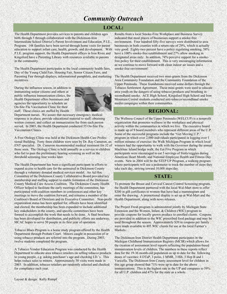## *Community Outreach*

#### **LOCAL:**

The Health Department provides services to parents and children ages birth through 5 through collaboration with the Dickinson-Iron Intermediate School District's Parent Involvement and Education, P.I.E., Program. 148 families have been served through home visits for parent education to support infant care, health, growth, and development. With P.I.E. program support, the Health Department offices in Iron River and Kingsford have a Parenting Library with resources available to parents in the community.

The Health Department participates in the local community health fairs, Day of the Young Child Fair, Housing Fair, Senior Citizen Fairs, and Parenting Fair through displays, informational pamphlets, and marketing incentives.

During the influenza season, in addition to immunizing senior citizens and others at public influenza immunization clinics, the Health Department offers businesses and agencies the opportunity to schedule an On-Site Flu Vaccination Clinic for their staff. These clinics are staffed by Health



Department nurses. We assure that necessary emergency medical response is in place; provide educational material to staff; obtaining written consent; and collect an immunization fee from each person served. In 2003, the Health Department conducted 55 On-Site Flu Vaccination Clinics.

A Free Otology Clinic was held at the Dickinson Health Care Professional Building. Forty three children were seen by Dr. Ray Cameron, an ENT specialist. Dr. Cameron recommended medical treatment for 32 of those seen. The Otology Clinic is held annually as a service to children who fail to pass the preliminary hearing screening as well as the threshold screening four weeks later.

The Health Department has been a significant participant in efforts to expand access to health care for the uninsured in Dickinson County through a voluntary donated medical services model. An Ad Hoc Committee of the Dickinson County Collaborative Board provided key membership and staffing support to enable formation of the Dickinson County Medical Care Access Coalition. The Dickinson County Health Officer helped to facilitate the early meetings of the committee, has participated with coalition members in conferences and other key meetings to move the coalition forward, and remains a member of the Coalition's Board of Directors and its Executive Committee. Non-profit organization status has been applied for, officers have been identified and elected, the membership has been expanded to include additional key stakeholders in the county, and specific committees have been formed to accomplish the work that needs to be done. A final brochure has been developed for distribution, and publicity efforts are underway. MCAC hopes to serve 50 people in its first year of operation.

Tobacco Blues Program is a home study program offered by the Health Department through Probate Court. Minors caught in possession of or using tobacco products are referred into the program. During 2003, twelve students completed the program.

A Tobacco Vendor Education Program was conducted by the Health Department to educate area tobacco retailers on selling tobacco products to young people, e.g. asking purchaser's age and checking I.D.'s. This helps reduce sales to minors. Approximately 50 visits were made in 2003. In addition, tobacco retailers are randomly selected and checked for compliance each year.

Results from a local Smoke-Free Workplace and Business Survey indicated that most places of businesses support a smoke-free environment. Four hundred fifty-five surveys were distributed to area businesses in both counties with a return rate of 29%, which is actually very good. Eighty-two percent have a policy regulating smoking, 58% have a 100% smoke-free establishment and 27% allow smoking in designated areas only. In addition, 74% perceive support for a smokefree policy for their establishment. This is very encouraging information as we continue to move forward with clean indoor air issues and a smoke-free environment!

The Health Department received two mini-grants from the Dickinson Area Community Foundation and the Community Foundation of the Upper Peninsula. These foundations received some dollars through the Tobacco Settlement Agreement. These mini-grants were used to educate area youth on the dangers of using tobacco products and breathing in secondhand smoke. ACE High School, Kingsford High School and Iron Mountain Central students conducted anti-tobacco/secondhand smoke media campaigns within their communities.

### **REGIONAL:**

The Wellness Council of the Upper Peninsula (WELCUP) is a nonprofit organization that promotes wellness in the workplace and physical activity within the communities in which we live. The executive board is made up of 9 board members who represent different areas of the U.P. Some of the successful programs include the "Get Moving U.P." program in which over 2,000 individuals participated in logging over 1 million minutes of exercise; the Walk Michigan Program in which local winners had the opportunity to walk with the Governor during the annual Mackinac Island bridge walk; the Eat Five Program in which participants were encouraged to eat 5 servings of fruits/veggies during American Heart Month; and National Employee Health and Fitness Day events. New in 2004 will be the STEP UP Program, a walking program where participants will use a pedometer to track the number of steps they take each day, striving toward 10,000 steps/day.

#### **STATE:**

To promote the Breast and Cervical Cancer Control Screening program, the Health Department partnered with the local Wal-Mart store to offer \$200 in gift certificates to women that have had a mammogram and enter the drawing. A promotional display is set up at Wal-Mart and the Health Department, along with news releases.

The Project Fresh program is administered jointly by Michigan State Extension and the Women, Infant, & Children (WIC) program to provide coupons for locally grown produce to enrolled clients. Coupons are provided in addition to the WIC prescribed food package and may be used throughout the season. Approximately \$20 in coupons per family were made available to 495 WIC clients for use at the local Farmer's Markets.

The Dickinson-Iron District Health Department participates in the Michigan Childhood Immunization Registry (MCIR) which allows for the creation of assessment level reports reflecting the population-based immunization levels of children. The numbers in these reports reflect data for the 19-36 month-old population as up to date for the following doses of vaccines: 4 DTaP, 3 polio, 1 MMR, 3 Hib, 3 Hep B and 1 Varicella. The Dickinson-Iron County assessment level for children in this age group showed that 71% were up to date for the above immunizations. This is the highest rate in the UP and compares to 59% for all U.P. children and 47% for the state as a whole.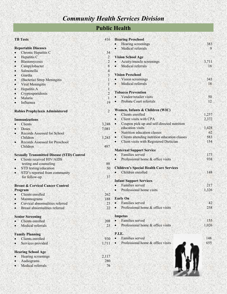## *Community Health Services Division*

## **Public Health**

|           | <b>TB Tests</b>                                                                                                                   | 416                     |
|-----------|-----------------------------------------------------------------------------------------------------------------------------------|-------------------------|
|           | <b>Reportable Diseases</b>                                                                                                        |                         |
|           | Chronic Hepatitis C                                                                                                               | 34                      |
| $\bullet$ | Hepatitis C                                                                                                                       | 2                       |
| $\bullet$ | Blastomycosis                                                                                                                     | $\overline{2}$          |
|           | Campylobacter                                                                                                                     | 8                       |
|           | Salmonella                                                                                                                        | $\overline{4}$          |
|           | Giardia                                                                                                                           | $\overline{\mathbf{3}}$ |
|           | (Bacteria) Strep Meningitis                                                                                                       | $\mathbf{1}$            |
|           | <b>Viral Meningitis</b>                                                                                                           | $\mathbf{1}$            |
|           | <b>Hepatitis A</b>                                                                                                                | $\mathbf{1}$            |
| $\bullet$ | Cryptosporidiosis                                                                                                                 | $\overline{c}$          |
| $\bullet$ | Malaria                                                                                                                           | $\mathbf{1}$            |
| $\bullet$ | Influenza                                                                                                                         | 19                      |
|           | <b>Rabies Prophylaxis Administered</b>                                                                                            | $\overline{2}$          |
|           | <b>Immunizations</b>                                                                                                              |                         |
|           | Clients                                                                                                                           | 3,248                   |
|           | <b>Doses</b>                                                                                                                      | 7,081                   |
|           | Records Assessed for School                                                                                                       |                         |
|           | Children                                                                                                                          | 1,243                   |
| $\bullet$ | Records Assessed for Preschool<br>Children                                                                                        | 487                     |
|           | <b>Sexually Transmitted Disease (STD) Control</b><br>Clients received HIV/AIDS<br>testing and counseling<br>STD testing/education | 88<br>50                |
| $\bullet$ | STD's reported from community                                                                                                     |                         |
|           | for follow-up                                                                                                                     | 37                      |
|           | <b>Breast &amp; Cervical Cancer Control</b><br>Program                                                                            |                         |
|           | Clients enrolled                                                                                                                  | 262                     |
|           | Mammograms                                                                                                                        | 188                     |
|           | Cervical abnormalities referred                                                                                                   | 23                      |
|           | Breast abnormalities referred                                                                                                     | 22                      |
|           | <b>Senior Screening</b>                                                                                                           |                         |
|           | Clients enrolled                                                                                                                  | 208                     |
|           | Medical referrals                                                                                                                 | 23                      |
|           | <b>Family Planning</b>                                                                                                            |                         |
|           | Clients enrolled                                                                                                                  | 930                     |
| $\bullet$ | Services provided                                                                                                                 | 1,711                   |
|           |                                                                                                                                   |                         |
|           |                                                                                                                                   |                         |
|           | <b>Hearing School Age</b>                                                                                                         |                         |
|           | Hearing screenings<br>Audiograms                                                                                                  | 2,117<br>280            |

| <b>Hearing Preschool</b>                                     |       |
|--------------------------------------------------------------|-------|
| Hearing screenings                                           | 383   |
| Medical referrals<br>$\bullet$                               | 9     |
| <b>Vision School Age</b>                                     |       |
|                                                              | 3,711 |
| Acuity/muscle screenings<br>Medical referrals                | 18    |
|                                                              |       |
| <b>Vision Preschool</b>                                      |       |
| Vision screenings                                            | 343   |
| Medical referrals                                            | 18    |
| <b>Tobacco Prevention</b>                                    |       |
| Vendor/retailer visits                                       | 50    |
| <b>Probate Court referrals</b><br>$\bullet$                  | 12    |
| Women, Infants & Children (WIC)                              |       |
| Clients enrolled                                             | 1,257 |
| Client visits with CPA                                       | 2,372 |
| Coupon pick-up and self-directed nutrition                   |       |
| education visits                                             | 1,428 |
| Nutrition education classes                                  | 62    |
| Clients attending nutrition education classes<br>$\bullet$ . | 583   |
| Client visits with Registered Dietician                      | 154   |
|                                                              |       |
| <b>Maternal Support Service</b>                              |       |
| Families served                                              | 173   |
| Professional home & office visits                            | 938   |
| <b>Children's Special Health Care Services</b>               |       |
| Children enrolled                                            | 148   |
|                                                              |       |
| <b>Infant Support Services</b>                               |       |
| Families served                                              | 217   |
| Professional home visits<br>$\bullet$                        | 1,326 |
| <b>Early On</b>                                              |       |
| Families served                                              | 42    |
| Professional home & office visits                            | 258   |
|                                                              |       |
| <b>Impetus</b>                                               |       |
| Families served                                              | 155   |
| Professional home & office visits                            | 1,026 |
| <b>P.I.E.</b>                                                |       |
| <b>Families</b> served                                       | 148   |
| Professional home & office visits                            | 655   |
|                                                              |       |

*Contract*